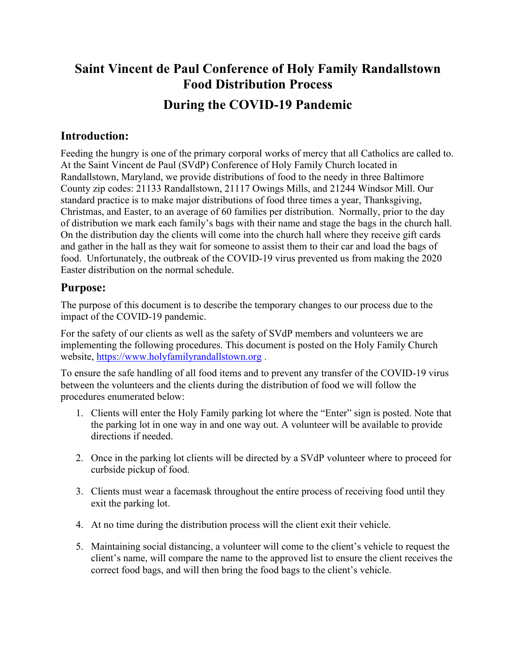## **Saint Vincent de Paul Conference of Holy Family Randallstown Food Distribution Process During the COVID-19 Pandemic**

## **Introduction:**

Feeding the hungry is one of the primary corporal works of mercy that all Catholics are called to. At the Saint Vincent de Paul (SVdP) Conference of Holy Family Church located in Randallstown, Maryland, we provide distributions of food to the needy in three Baltimore County zip codes: 21133 Randallstown, 21117 Owings Mills, and 21244 Windsor Mill. Our standard practice is to make major distributions of food three times a year, Thanksgiving, Christmas, and Easter, to an average of 60 families per distribution. Normally, prior to the day of distribution we mark each family's bags with their name and stage the bags in the church hall. On the distribution day the clients will come into the church hall where they receive gift cards and gather in the hall as they wait for someone to assist them to their car and load the bags of food. Unfortunately, the outbreak of the COVID-19 virus prevented us from making the 2020 Easter distribution on the normal schedule.

## **Purpose:**

The purpose of this document is to describe the temporary changes to our process due to the impact of the COVID-19 pandemic.

For the safety of our clients as well as the safety of SVdP members and volunteers we are implementing the following procedures. This document is posted on the Holy Family Church website, [https://www.holyfamilyrandallstown.org](https://www.holyfamilyrandallstown.org/) .

To ensure the safe handling of all food items and to prevent any transfer of the COVID-19 virus between the volunteers and the clients during the distribution of food we will follow the procedures enumerated below:

- 1. Clients will enter the Holy Family parking lot where the "Enter" sign is posted. Note that the parking lot in one way in and one way out. A volunteer will be available to provide directions if needed.
- 2. Once in the parking lot clients will be directed by a SVdP volunteer where to proceed for curbside pickup of food.
- 3. Clients must wear a facemask throughout the entire process of receiving food until they exit the parking lot.
- 4. At no time during the distribution process will the client exit their vehicle.
- 5. Maintaining social distancing, a volunteer will come to the client's vehicle to request the client's name, will compare the name to the approved list to ensure the client receives the correct food bags, and will then bring the food bags to the client's vehicle.